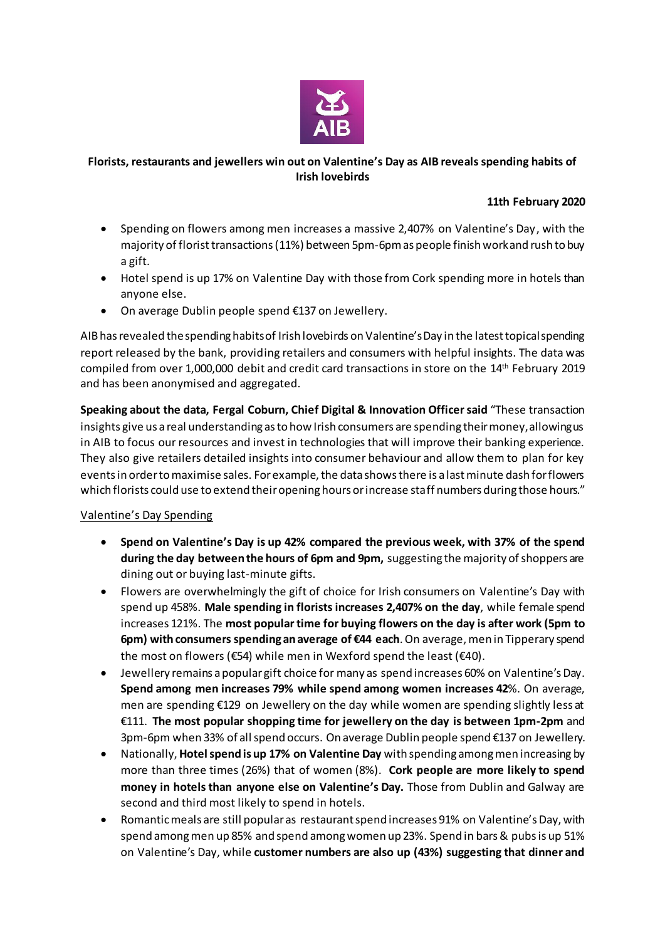

## **Florists, restaurants and jewellers win out on Valentine's Day as AIB reveals spending habits of Irish lovebirds**

## **11th February 2020**

- Spending on flowers among men increases a massive 2,407% on Valentine's Day, with the majority of floristtransactions (11%) between 5pm-6pm as people finish work and rush to buy a gift.
- Hotel spend is up 17% on Valentine Day with those from Cork spending more in hotels than anyone else.
- On average Dublin people spend €137 on Jewellery.

AIB has revealed the spending habits of Irish lovebirds on Valentine's Day in the latest topical spending report released by the bank, providing retailers and consumers with helpful insights. The data was compiled from over 1,000,000 debit and credit card transactions in store on the 14th February 2019 and has been anonymised and aggregated.

**Speaking about the data, Fergal Coburn, Chief Digital & Innovation Officer said** "These transaction insights give us a real understanding as to how Irish consumers are spending their money, allowing us in AIB to focus our resources and invest in technologies that will improve their banking experience. They also give retailers detailed insights into consumer behaviour and allow them to plan for key events in order to maximise sales. For example, the data shows there is a last minute dash for flowers which florists could use to extend their opening hours or increase staff numbers during those hours."

## Valentine's Day Spending

- **Spend on Valentine's Day is up 42% compared the previous week, with 37% of the spend during the day between the hours of 6pm and 9pm,** suggesting the majority of shoppers are dining out or buying last-minute gifts.
- Flowers are overwhelmingly the gift of choice for Irish consumers on Valentine's Day with spend up 458%. **Male spending in florists increases 2,407% on the day**, while female spend increases 121%. The **most popular time for buying flowers on the day is after work (5pm to 6pm) with consumers spending an average of €44 each**.On average, men in Tipperary spend the most on flowers (€54) while men in Wexford spend the least (€40).
- Jewellery remains a popular gift choice for many as spend increases 60% on Valentine's Day. **Spend among men increases 79% while spend among women increases 42**%. On average, men are spending €129 on Jewellery on the day while women are spending slightly less at €111. **The most popular shopping time for jewellery on the day is between 1pm-2pm** and 3pm-6pm when 33% of all spend occurs. On average Dublin people spend €137 on Jewellery.
- Nationally, **Hotelspend is up 17% on Valentine Day** with spending among men increasing by more than three times (26%) that of women (8%). **Cork people are more likely to spend money in hotels than anyone else on Valentine's Day.** Those from Dublin and Galway are second and third most likely to spend in hotels.
- Romantic meals are still popular as restaurant spend increases 91% on Valentine's Day, with spend among men up 85% and spend among women up 23%. Spend in bars & pubs is up 51% on Valentine's Day, while **customer numbers are also up (43%) suggesting that dinner and**